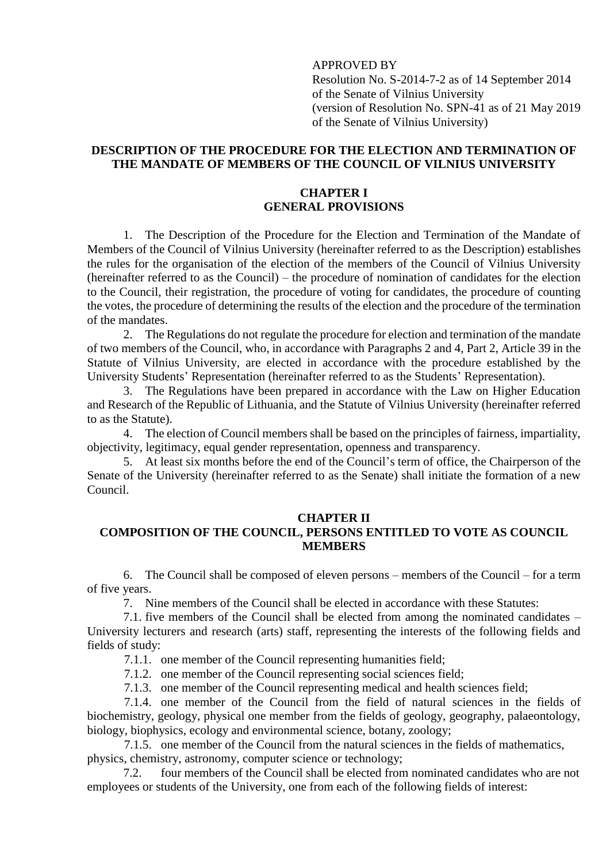# APPROVED BY

Resolution No. S-2014-7-2 as of 14 September 2014 of the Senate of Vilnius University (version of Resolution No. SPN-41 as of 21 May 2019 of the Senate of Vilnius University)

### **DESCRIPTION OF THE PROCEDURE FOR THE ELECTION AND TERMINATION OF THE MANDATE OF MEMBERS OF THE COUNCIL OF VILNIUS UNIVERSITY**

# **CHAPTER I GENERAL PROVISIONS**

1. The Description of the Procedure for the Election and Termination of the Mandate of Members of the Council of Vilnius University (hereinafter referred to as the Description) establishes the rules for the organisation of the election of the members of the Council of Vilnius University (hereinafter referred to as the Council) – the procedure of nomination of candidates for the election to the Council, their registration, the procedure of voting for candidates, the procedure of counting the votes, the procedure of determining the results of the election and the procedure of the termination of the mandates.

2. The Regulations do not regulate the procedure for election and termination of the mandate of two members of the Council, who, in accordance with Paragraphs 2 and 4, Part 2, Article 39 in the Statute of Vilnius University, are elected in accordance with the procedure established by the University Students' Representation (hereinafter referred to as the Students' Representation).

3. The Regulations have been prepared in accordance with the Law on Higher Education and Research of the Republic of Lithuania, and the Statute of Vilnius University (hereinafter referred to as the Statute).

4. The election of Council members shall be based on the principles of fairness, impartiality, objectivity, legitimacy, equal gender representation, openness and transparency.

5. At least six months before the end of the Council's term of office, the Chairperson of the Senate of the University (hereinafter referred to as the Senate) shall initiate the formation of a new Council.

## **CHAPTER II**

# **COMPOSITION OF THE COUNCIL, PERSONS ENTITLED TO VOTE AS COUNCIL MEMBERS**

6. The Council shall be composed of eleven persons – members of the Council – for a term of five years.

7. Nine members of the Council shall be elected in accordance with these Statutes:

7.1. five members of the Council shall be elected from among the nominated candidates – University lecturers and research (arts) staff, representing the interests of the following fields and fields of study:

7.1.1. one member of the Council representing humanities field;

7.1.2. one member of the Council representing social sciences field;

7.1.3. one member of the Council representing medical and health sciences field;

7.1.4. one member of the Council from the field of natural sciences in the fields of biochemistry, geology, physical one member from the fields of geology, geography, palaeontology, biology, biophysics, ecology and environmental science, botany, zoology;

7.1.5. one member of the Council from the natural sciences in the fields of mathematics, physics, chemistry, astronomy, computer science or technology;

7.2. four members of the Council shall be elected from nominated candidates who are not employees or students of the University, one from each of the following fields of interest: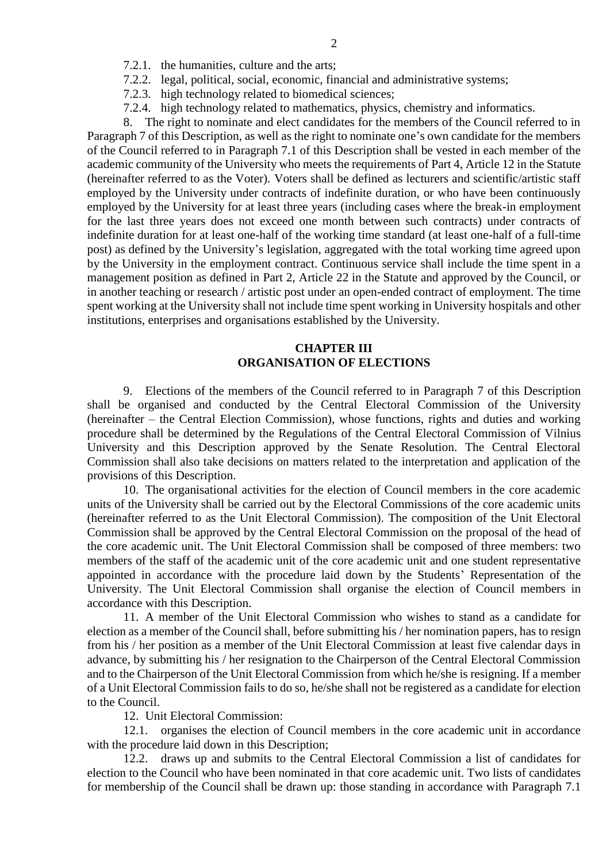- 7.2.1. the humanities, culture and the arts;
- 7.2.2. legal, political, social, economic, financial and administrative systems;
- 7.2.3. high technology related to biomedical sciences;
- 7.2.4. high technology related to mathematics, physics, chemistry and informatics.

8. The right to nominate and elect candidates for the members of the Council referred to in Paragraph 7 of this Description, as well as the right to nominate one's own candidate for the members of the Council referred to in Paragraph 7.1 of this Description shall be vested in each member of the academic community of the University who meets the requirements of Part 4, Article 12 in the Statute (hereinafter referred to as the Voter). Voters shall be defined as lecturers and scientific/artistic staff employed by the University under contracts of indefinite duration, or who have been continuously employed by the University for at least three years (including cases where the break-in employment for the last three years does not exceed one month between such contracts) under contracts of indefinite duration for at least one-half of the working time standard (at least one-half of a full-time post) as defined by the University's legislation, aggregated with the total working time agreed upon by the University in the employment contract. Continuous service shall include the time spent in a management position as defined in Part 2, Article 22 in the Statute and approved by the Council, or in another teaching or research / artistic post under an open-ended contract of employment. The time spent working at the University shall not include time spent working in University hospitals and other institutions, enterprises and organisations established by the University.

### **CHAPTER III ORGANISATION OF ELECTIONS**

9. Elections of the members of the Council referred to in Paragraph 7 of this Description shall be organised and conducted by the Central Electoral Commission of the University (hereinafter – the Central Election Commission), whose functions, rights and duties and working procedure shall be determined by the Regulations of the Central Electoral Commission of Vilnius University and this Description approved by the Senate Resolution. The Central Electoral Commission shall also take decisions on matters related to the interpretation and application of the provisions of this Description.

10. The organisational activities for the election of Council members in the core academic units of the University shall be carried out by the Electoral Commissions of the core academic units (hereinafter referred to as the Unit Electoral Commission). The composition of the Unit Electoral Commission shall be approved by the Central Electoral Commission on the proposal of the head of the core academic unit. The Unit Electoral Commission shall be composed of three members: two members of the staff of the academic unit of the core academic unit and one student representative appointed in accordance with the procedure laid down by the Students' Representation of the University. The Unit Electoral Commission shall organise the election of Council members in accordance with this Description.

11. A member of the Unit Electoral Commission who wishes to stand as a candidate for election as a member of the Council shall, before submitting his / her nomination papers, has to resign from his / her position as a member of the Unit Electoral Commission at least five calendar days in advance, by submitting his / her resignation to the Chairperson of the Central Electoral Commission and to the Chairperson of the Unit Electoral Commission from which he/she is resigning. If a member of a Unit Electoral Commission fails to do so, he/she shall not be registered as a candidate for election to the Council.

12. Unit Electoral Commission:

12.1. organises the election of Council members in the core academic unit in accordance with the procedure laid down in this Description;

12.2. draws up and submits to the Central Electoral Commission a list of candidates for election to the Council who have been nominated in that core academic unit. Two lists of candidates for membership of the Council shall be drawn up: those standing in accordance with Paragraph 7.1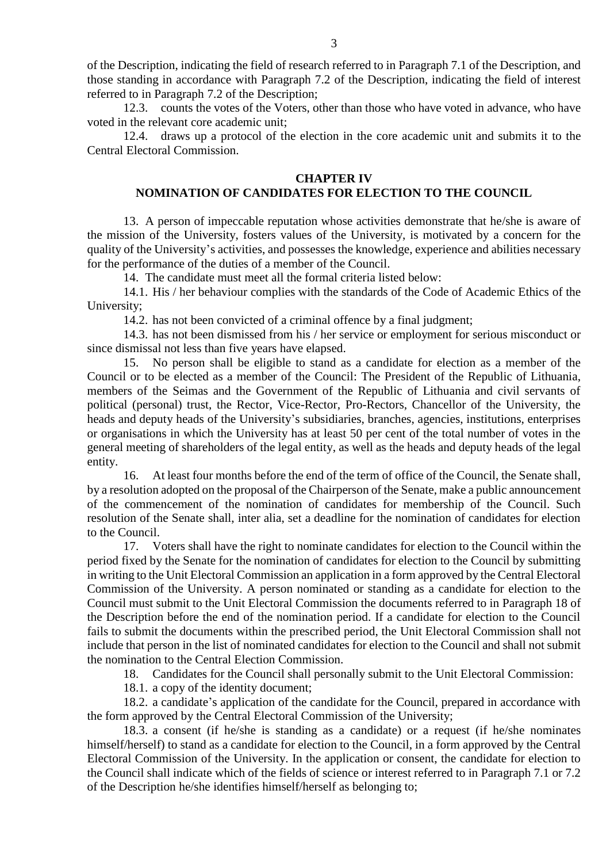of the Description, indicating the field of research referred to in Paragraph 7.1 of the Description, and those standing in accordance with Paragraph 7.2 of the Description, indicating the field of interest referred to in Paragraph 7.2 of the Description;

12.3. counts the votes of the Voters, other than those who have voted in advance, who have voted in the relevant core academic unit;

12.4. draws up a protocol of the election in the core academic unit and submits it to the Central Electoral Commission.

#### **CHAPTER IV**

### **NOMINATION OF CANDIDATES FOR ELECTION TO THE COUNCIL**

13. A person of impeccable reputation whose activities demonstrate that he/she is aware of the mission of the University, fosters values of the University, is motivated by a concern for the quality of the University's activities, and possesses the knowledge, experience and abilities necessary for the performance of the duties of a member of the Council.

14. The candidate must meet all the formal criteria listed below:

14.1. His / her behaviour complies with the standards of the Code of Academic Ethics of the University;

14.2. has not been convicted of a criminal offence by a final judgment;

14.3. has not been dismissed from his / her service or employment for serious misconduct or since dismissal not less than five years have elapsed.

15. No person shall be eligible to stand as a candidate for election as a member of the Council or to be elected as a member of the Council: The President of the Republic of Lithuania, members of the Seimas and the Government of the Republic of Lithuania and civil servants of political (personal) trust, the Rector, Vice-Rector, Pro-Rectors, Chancellor of the University, the heads and deputy heads of the University's subsidiaries, branches, agencies, institutions, enterprises or organisations in which the University has at least 50 per cent of the total number of votes in the general meeting of shareholders of the legal entity, as well as the heads and deputy heads of the legal entity.

16. At least four months before the end of the term of office of the Council, the Senate shall, by a resolution adopted on the proposal of the Chairperson of the Senate, make a public announcement of the commencement of the nomination of candidates for membership of the Council. Such resolution of the Senate shall, inter alia, set a deadline for the nomination of candidates for election to the Council.

17. Voters shall have the right to nominate candidates for election to the Council within the period fixed by the Senate for the nomination of candidates for election to the Council by submitting in writing to the Unit Electoral Commission an application in a form approved by the Central Electoral Commission of the University. A person nominated or standing as a candidate for election to the Council must submit to the Unit Electoral Commission the documents referred to in Paragraph 18 of the Description before the end of the nomination period. If a candidate for election to the Council fails to submit the documents within the prescribed period, the Unit Electoral Commission shall not include that person in the list of nominated candidates for election to the Council and shall not submit the nomination to the Central Election Commission.

18. Candidates for the Council shall personally submit to the Unit Electoral Commission:

18.1. a copy of the identity document;

18.2. a candidate's application of the candidate for the Council, prepared in accordance with the form approved by the Central Electoral Commission of the University;

18.3. a consent (if he/she is standing as a candidate) or a request (if he/she nominates himself/herself) to stand as a candidate for election to the Council, in a form approved by the Central Electoral Commission of the University. In the application or consent, the candidate for election to the Council shall indicate which of the fields of science or interest referred to in Paragraph 7.1 or 7.2 of the Description he/she identifies himself/herself as belonging to;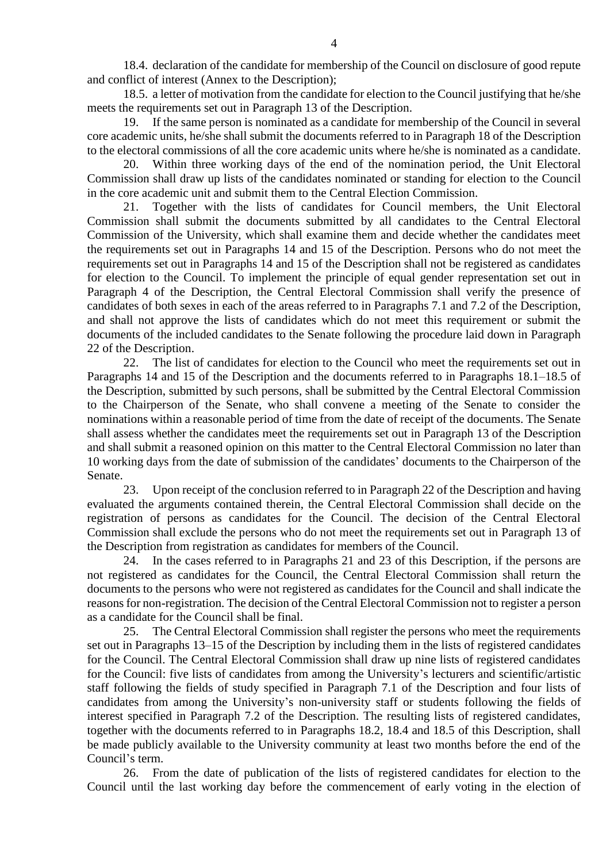18.4. declaration of the candidate for membership of the Council on disclosure of good repute and conflict of interest (Annex to the Description);

18.5. a letter of motivation from the candidate for election to the Council justifying that he/she meets the requirements set out in Paragraph 13 of the Description.

19. If the same person is nominated as a candidate for membership of the Council in several core academic units, he/she shall submit the documents referred to in Paragraph 18 of the Description to the electoral commissions of all the core academic units where he/she is nominated as a candidate.

20. Within three working days of the end of the nomination period, the Unit Electoral Commission shall draw up lists of the candidates nominated or standing for election to the Council in the core academic unit and submit them to the Central Election Commission.

21. Together with the lists of candidates for Council members, the Unit Electoral Commission shall submit the documents submitted by all candidates to the Central Electoral Commission of the University, which shall examine them and decide whether the candidates meet the requirements set out in Paragraphs 14 and 15 of the Description. Persons who do not meet the requirements set out in Paragraphs 14 and 15 of the Description shall not be registered as candidates for election to the Council. To implement the principle of equal gender representation set out in Paragraph 4 of the Description, the Central Electoral Commission shall verify the presence of candidates of both sexes in each of the areas referred to in Paragraphs 7.1 and 7.2 of the Description, and shall not approve the lists of candidates which do not meet this requirement or submit the documents of the included candidates to the Senate following the procedure laid down in Paragraph 22 of the Description.

22. The list of candidates for election to the Council who meet the requirements set out in Paragraphs 14 and 15 of the Description and the documents referred to in Paragraphs 18.1–18.5 of the Description, submitted by such persons, shall be submitted by the Central Electoral Commission to the Chairperson of the Senate, who shall convene a meeting of the Senate to consider the nominations within a reasonable period of time from the date of receipt of the documents. The Senate shall assess whether the candidates meet the requirements set out in Paragraph 13 of the Description and shall submit a reasoned opinion on this matter to the Central Electoral Commission no later than 10 working days from the date of submission of the candidates' documents to the Chairperson of the Senate.

23. Upon receipt of the conclusion referred to in Paragraph 22 of the Description and having evaluated the arguments contained therein, the Central Electoral Commission shall decide on the registration of persons as candidates for the Council. The decision of the Central Electoral Commission shall exclude the persons who do not meet the requirements set out in Paragraph 13 of the Description from registration as candidates for members of the Council.

24. In the cases referred to in Paragraphs 21 and 23 of this Description, if the persons are not registered as candidates for the Council, the Central Electoral Commission shall return the documents to the persons who were not registered as candidates for the Council and shall indicate the reasons for non-registration. The decision of the Central Electoral Commission not to register a person as a candidate for the Council shall be final.

25. The Central Electoral Commission shall register the persons who meet the requirements set out in Paragraphs 13–15 of the Description by including them in the lists of registered candidates for the Council. The Central Electoral Commission shall draw up nine lists of registered candidates for the Council: five lists of candidates from among the University's lecturers and scientific/artistic staff following the fields of study specified in Paragraph 7.1 of the Description and four lists of candidates from among the University's non-university staff or students following the fields of interest specified in Paragraph 7.2 of the Description. The resulting lists of registered candidates, together with the documents referred to in Paragraphs 18.2, 18.4 and 18.5 of this Description, shall be made publicly available to the University community at least two months before the end of the Council's term.

26. From the date of publication of the lists of registered candidates for election to the Council until the last working day before the commencement of early voting in the election of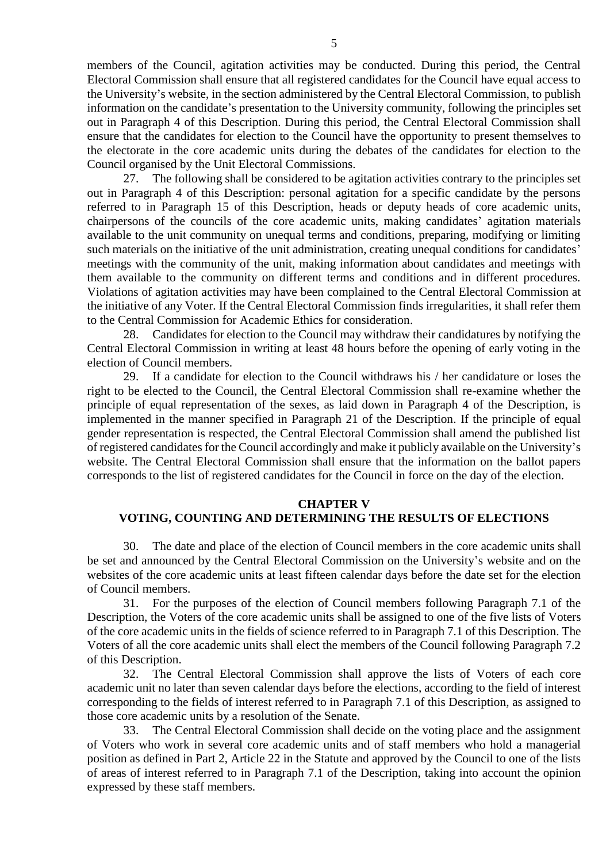members of the Council, agitation activities may be conducted. During this period, the Central Electoral Commission shall ensure that all registered candidates for the Council have equal access to the University's website, in the section administered by the Central Electoral Commission, to publish information on the candidate's presentation to the University community, following the principles set out in Paragraph 4 of this Description. During this period, the Central Electoral Commission shall ensure that the candidates for election to the Council have the opportunity to present themselves to the electorate in the core academic units during the debates of the candidates for election to the Council organised by the Unit Electoral Commissions.

27. The following shall be considered to be agitation activities contrary to the principles set out in Paragraph 4 of this Description: personal agitation for a specific candidate by the persons referred to in Paragraph 15 of this Description, heads or deputy heads of core academic units, chairpersons of the councils of the core academic units, making candidates' agitation materials available to the unit community on unequal terms and conditions, preparing, modifying or limiting such materials on the initiative of the unit administration, creating unequal conditions for candidates' meetings with the community of the unit, making information about candidates and meetings with them available to the community on different terms and conditions and in different procedures. Violations of agitation activities may have been complained to the Central Electoral Commission at the initiative of any Voter. If the Central Electoral Commission finds irregularities, it shall refer them to the Central Commission for Academic Ethics for consideration.

28. Candidates for election to the Council may withdraw their candidatures by notifying the Central Electoral Commission in writing at least 48 hours before the opening of early voting in the election of Council members.

29. If a candidate for election to the Council withdraws his / her candidature or loses the right to be elected to the Council, the Central Electoral Commission shall re-examine whether the principle of equal representation of the sexes, as laid down in Paragraph 4 of the Description, is implemented in the manner specified in Paragraph 21 of the Description. If the principle of equal gender representation is respected, the Central Electoral Commission shall amend the published list of registered candidates for the Council accordingly and make it publicly available on the University's website. The Central Electoral Commission shall ensure that the information on the ballot papers corresponds to the list of registered candidates for the Council in force on the day of the election.

#### **CHAPTER V**

#### **VOTING, COUNTING AND DETERMINING THE RESULTS OF ELECTIONS**

30. The date and place of the election of Council members in the core academic units shall be set and announced by the Central Electoral Commission on the University's website and on the websites of the core academic units at least fifteen calendar days before the date set for the election of Council members.

31. For the purposes of the election of Council members following Paragraph 7.1 of the Description, the Voters of the core academic units shall be assigned to one of the five lists of Voters of the core academic units in the fields of science referred to in Paragraph 7.1 of this Description. The Voters of all the core academic units shall elect the members of the Council following Paragraph 7.2 of this Description.

32. The Central Electoral Commission shall approve the lists of Voters of each core academic unit no later than seven calendar days before the elections, according to the field of interest corresponding to the fields of interest referred to in Paragraph 7.1 of this Description, as assigned to those core academic units by a resolution of the Senate.

33. The Central Electoral Commission shall decide on the voting place and the assignment of Voters who work in several core academic units and of staff members who hold a managerial position as defined in Part 2, Article 22 in the Statute and approved by the Council to one of the lists of areas of interest referred to in Paragraph 7.1 of the Description, taking into account the opinion expressed by these staff members.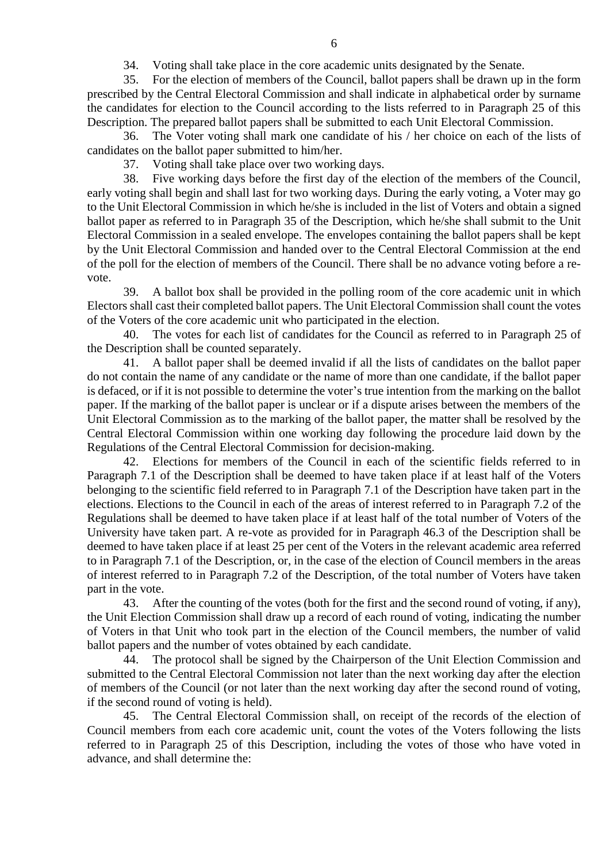34. Voting shall take place in the core academic units designated by the Senate.

35. For the election of members of the Council, ballot papers shall be drawn up in the form prescribed by the Central Electoral Commission and shall indicate in alphabetical order by surname the candidates for election to the Council according to the lists referred to in Paragraph 25 of this Description. The prepared ballot papers shall be submitted to each Unit Electoral Commission.

36. The Voter voting shall mark one candidate of his / her choice on each of the lists of candidates on the ballot paper submitted to him/her.

37. Voting shall take place over two working days.

38. Five working days before the first day of the election of the members of the Council, early voting shall begin and shall last for two working days. During the early voting, a Voter may go to the Unit Electoral Commission in which he/she is included in the list of Voters and obtain a signed ballot paper as referred to in Paragraph 35 of the Description, which he/she shall submit to the Unit Electoral Commission in a sealed envelope. The envelopes containing the ballot papers shall be kept by the Unit Electoral Commission and handed over to the Central Electoral Commission at the end of the poll for the election of members of the Council. There shall be no advance voting before a revote.

39. A ballot box shall be provided in the polling room of the core academic unit in which Electors shall cast their completed ballot papers. The Unit Electoral Commission shall count the votes of the Voters of the core academic unit who participated in the election.

40. The votes for each list of candidates for the Council as referred to in Paragraph 25 of the Description shall be counted separately.

41. A ballot paper shall be deemed invalid if all the lists of candidates on the ballot paper do not contain the name of any candidate or the name of more than one candidate, if the ballot paper is defaced, or if it is not possible to determine the voter's true intention from the marking on the ballot paper. If the marking of the ballot paper is unclear or if a dispute arises between the members of the Unit Electoral Commission as to the marking of the ballot paper, the matter shall be resolved by the Central Electoral Commission within one working day following the procedure laid down by the Regulations of the Central Electoral Commission for decision-making.

42. Elections for members of the Council in each of the scientific fields referred to in Paragraph 7.1 of the Description shall be deemed to have taken place if at least half of the Voters belonging to the scientific field referred to in Paragraph 7.1 of the Description have taken part in the elections. Elections to the Council in each of the areas of interest referred to in Paragraph 7.2 of the Regulations shall be deemed to have taken place if at least half of the total number of Voters of the University have taken part. A re-vote as provided for in Paragraph 46.3 of the Description shall be deemed to have taken place if at least 25 per cent of the Voters in the relevant academic area referred to in Paragraph 7.1 of the Description, or, in the case of the election of Council members in the areas of interest referred to in Paragraph 7.2 of the Description, of the total number of Voters have taken part in the vote.

43. After the counting of the votes (both for the first and the second round of voting, if any), the Unit Election Commission shall draw up a record of each round of voting, indicating the number of Voters in that Unit who took part in the election of the Council members, the number of valid ballot papers and the number of votes obtained by each candidate.

44. The protocol shall be signed by the Chairperson of the Unit Election Commission and submitted to the Central Electoral Commission not later than the next working day after the election of members of the Council (or not later than the next working day after the second round of voting, if the second round of voting is held).

45. The Central Electoral Commission shall, on receipt of the records of the election of Council members from each core academic unit, count the votes of the Voters following the lists referred to in Paragraph 25 of this Description, including the votes of those who have voted in advance, and shall determine the: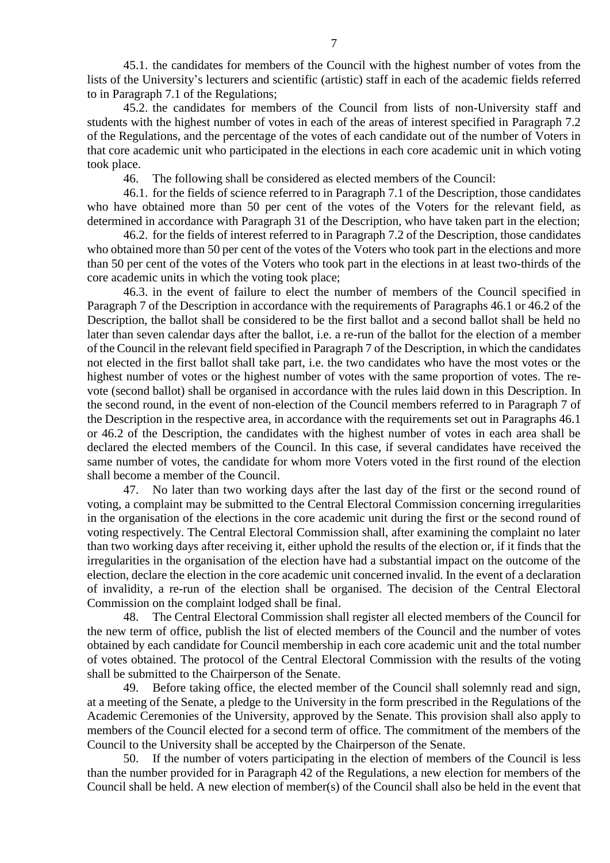45.1. the candidates for members of the Council with the highest number of votes from the lists of the University's lecturers and scientific (artistic) staff in each of the academic fields referred to in Paragraph 7.1 of the Regulations;

45.2. the candidates for members of the Council from lists of non-University staff and students with the highest number of votes in each of the areas of interest specified in Paragraph 7.2 of the Regulations, and the percentage of the votes of each candidate out of the number of Voters in that core academic unit who participated in the elections in each core academic unit in which voting took place.

46. The following shall be considered as elected members of the Council:

46.1. for the fields of science referred to in Paragraph 7.1 of the Description, those candidates who have obtained more than 50 per cent of the votes of the Voters for the relevant field, as determined in accordance with Paragraph 31 of the Description, who have taken part in the election;

46.2. for the fields of interest referred to in Paragraph 7.2 of the Description, those candidates who obtained more than 50 per cent of the votes of the Voters who took part in the elections and more than 50 per cent of the votes of the Voters who took part in the elections in at least two-thirds of the core academic units in which the voting took place;

46.3. in the event of failure to elect the number of members of the Council specified in Paragraph 7 of the Description in accordance with the requirements of Paragraphs 46.1 or 46.2 of the Description, the ballot shall be considered to be the first ballot and a second ballot shall be held no later than seven calendar days after the ballot, i.e. a re-run of the ballot for the election of a member of the Council in the relevant field specified in Paragraph 7 of the Description, in which the candidates not elected in the first ballot shall take part, i.e. the two candidates who have the most votes or the highest number of votes or the highest number of votes with the same proportion of votes. The revote (second ballot) shall be organised in accordance with the rules laid down in this Description. In the second round, in the event of non-election of the Council members referred to in Paragraph 7 of the Description in the respective area, in accordance with the requirements set out in Paragraphs 46.1 or 46.2 of the Description, the candidates with the highest number of votes in each area shall be declared the elected members of the Council. In this case, if several candidates have received the same number of votes, the candidate for whom more Voters voted in the first round of the election shall become a member of the Council.

47. No later than two working days after the last day of the first or the second round of voting, a complaint may be submitted to the Central Electoral Commission concerning irregularities in the organisation of the elections in the core academic unit during the first or the second round of voting respectively. The Central Electoral Commission shall, after examining the complaint no later than two working days after receiving it, either uphold the results of the election or, if it finds that the irregularities in the organisation of the election have had a substantial impact on the outcome of the election, declare the election in the core academic unit concerned invalid. In the event of a declaration of invalidity, a re-run of the election shall be organised. The decision of the Central Electoral Commission on the complaint lodged shall be final.

48. The Central Electoral Commission shall register all elected members of the Council for the new term of office, publish the list of elected members of the Council and the number of votes obtained by each candidate for Council membership in each core academic unit and the total number of votes obtained. The protocol of the Central Electoral Commission with the results of the voting shall be submitted to the Chairperson of the Senate.

49. Before taking office, the elected member of the Council shall solemnly read and sign, at a meeting of the Senate, a pledge to the University in the form prescribed in the Regulations of the Academic Ceremonies of the University, approved by the Senate. This provision shall also apply to members of the Council elected for a second term of office. The commitment of the members of the Council to the University shall be accepted by the Chairperson of the Senate.

50. If the number of voters participating in the election of members of the Council is less than the number provided for in Paragraph 42 of the Regulations, a new election for members of the Council shall be held. A new election of member(s) of the Council shall also be held in the event that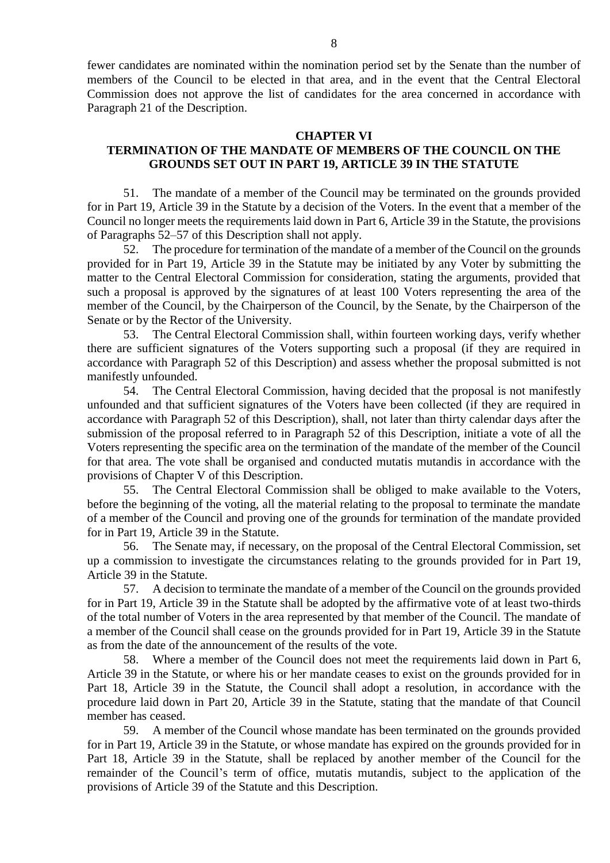fewer candidates are nominated within the nomination period set by the Senate than the number of members of the Council to be elected in that area, and in the event that the Central Electoral Commission does not approve the list of candidates for the area concerned in accordance with Paragraph 21 of the Description.

#### **CHAPTER VI**

## **TERMINATION OF THE MANDATE OF MEMBERS OF THE COUNCIL ON THE GROUNDS SET OUT IN PART 19, ARTICLE 39 IN THE STATUTE**

51. The mandate of a member of the Council may be terminated on the grounds provided for in Part 19, Article 39 in the Statute by a decision of the Voters. In the event that a member of the Council no longer meets the requirements laid down in Part 6, Article 39 in the Statute, the provisions of Paragraphs 52–57 of this Description shall not apply.

52. The procedure for termination of the mandate of a member of the Council on the grounds provided for in Part 19, Article 39 in the Statute may be initiated by any Voter by submitting the matter to the Central Electoral Commission for consideration, stating the arguments, provided that such a proposal is approved by the signatures of at least 100 Voters representing the area of the member of the Council, by the Chairperson of the Council, by the Senate, by the Chairperson of the Senate or by the Rector of the University.

53. The Central Electoral Commission shall, within fourteen working days, verify whether there are sufficient signatures of the Voters supporting such a proposal (if they are required in accordance with Paragraph 52 of this Description) and assess whether the proposal submitted is not manifestly unfounded.

54. The Central Electoral Commission, having decided that the proposal is not manifestly unfounded and that sufficient signatures of the Voters have been collected (if they are required in accordance with Paragraph 52 of this Description), shall, not later than thirty calendar days after the submission of the proposal referred to in Paragraph 52 of this Description, initiate a vote of all the Voters representing the specific area on the termination of the mandate of the member of the Council for that area. The vote shall be organised and conducted mutatis mutandis in accordance with the provisions of Chapter V of this Description.

55. The Central Electoral Commission shall be obliged to make available to the Voters, before the beginning of the voting, all the material relating to the proposal to terminate the mandate of a member of the Council and proving one of the grounds for termination of the mandate provided for in Part 19, Article 39 in the Statute.

56. The Senate may, if necessary, on the proposal of the Central Electoral Commission, set up a commission to investigate the circumstances relating to the grounds provided for in Part 19, Article 39 in the Statute.

57. A decision to terminate the mandate of a member of the Council on the grounds provided for in Part 19, Article 39 in the Statute shall be adopted by the affirmative vote of at least two-thirds of the total number of Voters in the area represented by that member of the Council. The mandate of a member of the Council shall cease on the grounds provided for in Part 19, Article 39 in the Statute as from the date of the announcement of the results of the vote.

58. Where a member of the Council does not meet the requirements laid down in Part 6, Article 39 in the Statute, or where his or her mandate ceases to exist on the grounds provided for in Part 18, Article 39 in the Statute, the Council shall adopt a resolution, in accordance with the procedure laid down in Part 20, Article 39 in the Statute, stating that the mandate of that Council member has ceased.

59. A member of the Council whose mandate has been terminated on the grounds provided for in Part 19, Article 39 in the Statute, or whose mandate has expired on the grounds provided for in Part 18, Article 39 in the Statute, shall be replaced by another member of the Council for the remainder of the Council's term of office, mutatis mutandis, subject to the application of the provisions of Article 39 of the Statute and this Description.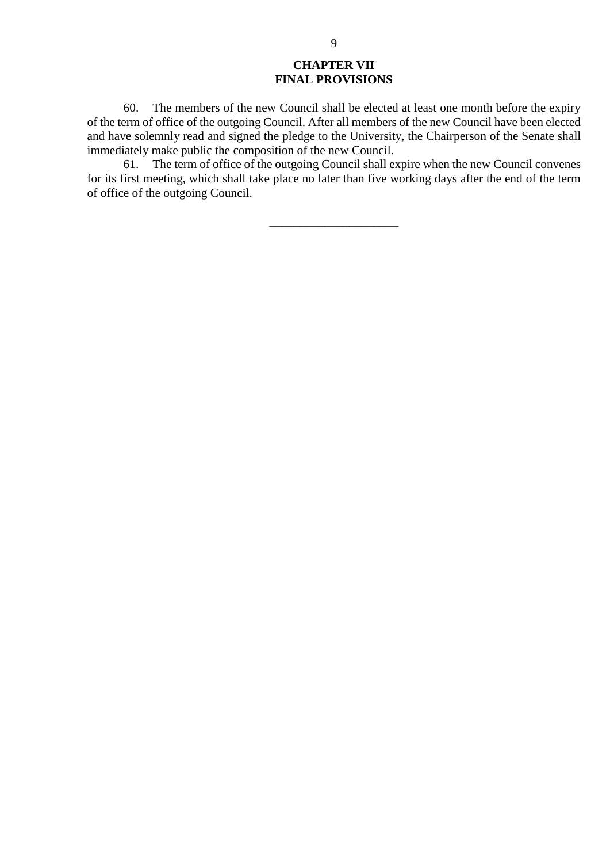# **CHAPTER VII FINAL PROVISIONS**

60. The members of the new Council shall be elected at least one month before the expiry of the term of office of the outgoing Council. After all members of the new Council have been elected and have solemnly read and signed the pledge to the University, the Chairperson of the Senate shall immediately make public the composition of the new Council.

61. The term of office of the outgoing Council shall expire when the new Council convenes for its first meeting, which shall take place no later than five working days after the end of the term of office of the outgoing Council.

\_\_\_\_\_\_\_\_\_\_\_\_\_\_\_\_\_\_\_\_\_